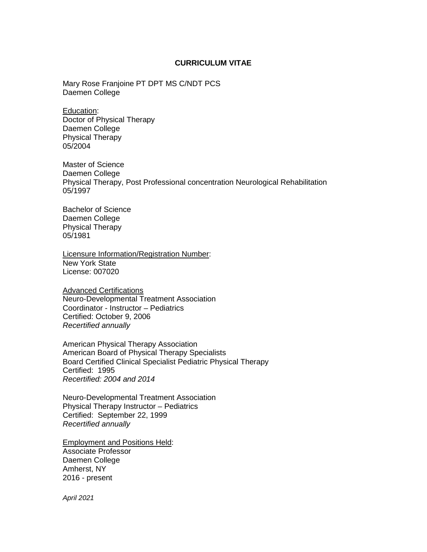#### **CURRICULUM VITAE**

Mary Rose Franjoine PT DPT MS C/NDT PCS Daemen College

Education: Doctor of Physical Therapy Daemen College Physical Therapy 05/2004

Master of Science Daemen College Physical Therapy, Post Professional concentration Neurological Rehabilitation 05/1997

Bachelor of Science Daemen College Physical Therapy 05/1981

Licensure Information/Registration Number: New York State License: 007020

**Advanced Certifications** Neuro-Developmental Treatment Association Coordinator - Instructor – Pediatrics Certified: October 9, 2006 *Recertified annually* 

American Physical Therapy Association American Board of Physical Therapy Specialists Board Certified Clinical Specialist Pediatric Physical Therapy Certified: 1995 *Recertified: 2004 and 2014*

Neuro-Developmental Treatment Association Physical Therapy Instructor – Pediatrics Certified: September 22, 1999 *Recertified annually*

Employment and Positions Held: Associate Professor Daemen College Amherst, NY 2016 - present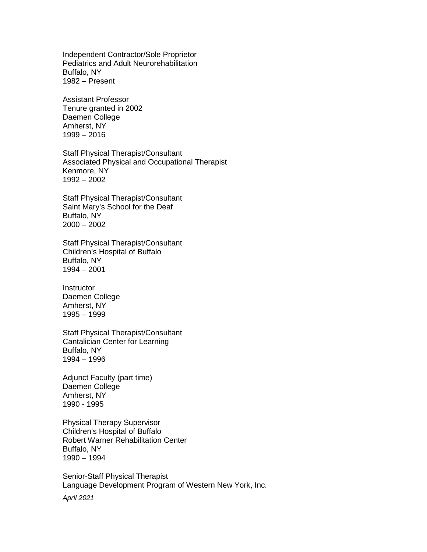Independent Contractor/Sole Proprietor Pediatrics and Adult Neurorehabilitation Buffalo, NY 1982 – Present

Assistant Professor Tenure granted in 2002 Daemen College Amherst, NY 1999 – 2016

Staff Physical Therapist/Consultant Associated Physical and Occupational Therapist Kenmore, NY 1992 – 2002

Staff Physical Therapist/Consultant Saint Mary's School for the Deaf Buffalo, NY 2000 – 2002

Staff Physical Therapist/Consultant Children's Hospital of Buffalo Buffalo, NY 1994 – 2001

Instructor Daemen College Amherst, NY 1995 – 1999

Staff Physical Therapist/Consultant Cantalician Center for Learning Buffalo, NY 1994 – 1996

Adjunct Faculty (part time) Daemen College Amherst, NY 1990 - 1995

Physical Therapy Supervisor Children's Hospital of Buffalo Robert Warner Rehabilitation Center Buffalo, NY 1990 – 1994

Senior-Staff Physical Therapist Language Development Program of Western New York, Inc.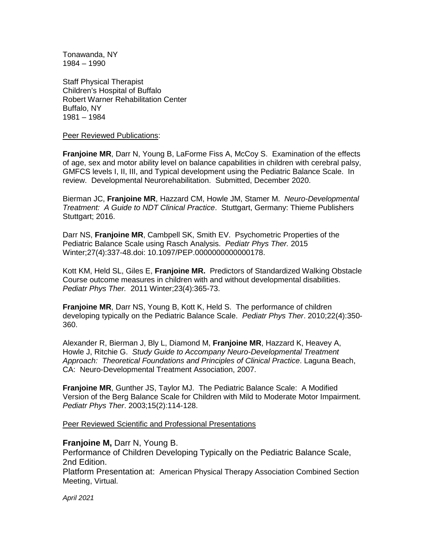Tonawanda, NY 1984 – 1990

Staff Physical Therapist Children's Hospital of Buffalo Robert Warner Rehabilitation Center Buffalo, NY 1981 – 1984

Peer Reviewed Publications:

**Franjoine MR**, Darr N, Young B, LaForme Fiss A, McCoy S. Examination of the effects of age, sex and motor ability level on balance capabilities in children with cerebral palsy, GMFCS levels I, II, III, and Typical development using the Pediatric Balance Scale. In review. Developmental Neurorehabilitation. Submitted, December 2020.

Bierman JC, **Franjoine MR**, Hazzard CM, Howle JM, Stamer M. *Neuro-Developmental Treatment: A Guide to NDT Clinical Practice*. Stuttgart, Germany: Thieme Publishers Stuttgart; 2016.

Darr NS, **Franjoine MR**, Cambpell SK, Smith EV. Psychometric Properties of the Pediatric Balance Scale using Rasch Analysis. *Pediatr Phys Ther.* 2015 Winter;27(4):337-48.doi: 10.1097/PEP.0000000000000178.

Kott KM, Held SL, Giles E, **Franjoine MR.** Predictors of Standardized Walking Obstacle Course outcome measures in children with and without developmental disabilities. *Pediatr Phys Ther.* 2011 Winter;23(4):365-73.

**Franjoine MR**, Darr NS, Young B, Kott K, Held S. The performance of children developing typically on the Pediatric Balance Scale. *Pediatr Phys Ther*. 2010;22(4):350- 360.

Alexander R, Bierman J, Bly L, Diamond M, **Franjoine MR**, Hazzard K, Heavey A, Howle J, Ritchie G. *Study Guide to Accompany Neuro-Developmental Treatment Approach: Theoretical Foundations and Principles of Clinical Practice*. Laguna Beach, CA: Neuro-Developmental Treatment Association, 2007.

**Franjoine MR**, Gunther JS, Taylor MJ. The Pediatric Balance Scale: A Modified Version of the Berg Balance Scale for Children with Mild to Moderate Motor Impairment. *Pediatr Phys Ther*. 2003;15(2):114-128.

Peer Reviewed Scientific and Professional Presentations

**Franjoine M,** Darr N, Young B.

Performance of Children Developing Typically on the Pediatric Balance Scale, 2nd Edition.

Platform Presentation at: American Physical Therapy Association Combined Section Meeting, Virtual.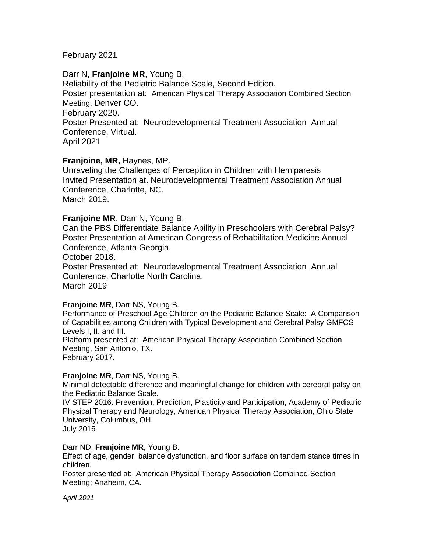# February 2021

# Darr N, **Franjoine MR**, Young B.

Reliability of the Pediatric Balance Scale, Second Edition. Poster presentation at: American Physical Therapy Association Combined Section Meeting, Denver CO. February 2020. Poster Presented at: Neurodevelopmental Treatment Association Annual Conference, Virtual. April 2021

# **Franjoine, MR,** Haynes, MP.

Unraveling the Challenges of Perception in Children with Hemiparesis Invited Presentation at. Neurodevelopmental Treatment Association Annual Conference, Charlotte, NC. March 2019.

## **Franjoine MR**, Darr N, Young B.

Can the PBS Differentiate Balance Ability in Preschoolers with Cerebral Palsy? Poster Presentation at American Congress of Rehabilitation Medicine Annual Conference, Atlanta Georgia.

October 2018.

Poster Presented at: Neurodevelopmental Treatment Association Annual Conference, Charlotte North Carolina. March 2019

## **Franjoine MR**, Darr NS, Young B.

Performance of Preschool Age Children on the Pediatric Balance Scale: A Comparison of Capabilities among Children with Typical Development and Cerebral Palsy GMFCS Levels I, II, and III. Platform presented at: American Physical Therapy Association Combined Section Meeting, San Antonio, TX.

February 2017.

## **Franjoine MR**, Darr NS, Young B.

Minimal detectable difference and meaningful change for children with cerebral palsy on the Pediatric Balance Scale.

IV STEP 2016: Prevention, Prediction, Plasticity and Participation, Academy of Pediatric Physical Therapy and Neurology, American Physical Therapy Association, Ohio State University, Columbus, OH.

July 2016

## Darr ND, **Franjoine MR**, Young B.

Effect of age, gender, balance dysfunction, and floor surface on tandem stance times in children.

Poster presented at: American Physical Therapy Association Combined Section Meeting; Anaheim, CA.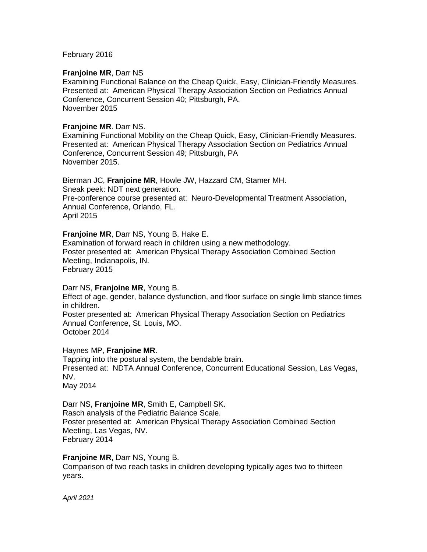February 2016

## **Franjoine MR**, Darr NS

Examining Functional Balance on the Cheap Quick, Easy, Clinician-Friendly Measures. Presented at: American Physical Therapy Association Section on Pediatrics Annual Conference, Concurrent Session 40; Pittsburgh, PA. November 2015

## **Franjoine MR**. Darr NS.

Examining Functional Mobility on the Cheap Quick, Easy, Clinician-Friendly Measures. Presented at: American Physical Therapy Association Section on Pediatrics Annual Conference, Concurrent Session 49; Pittsburgh, PA November 2015.

Bierman JC, **Franjoine MR**, Howle JW, Hazzard CM, Stamer MH. Sneak peek: NDT next generation. Pre-conference course presented at: Neuro-Developmental Treatment Association, Annual Conference, Orlando, FL. April 2015

## **Franjoine MR**, Darr NS, Young B, Hake E.

Examination of forward reach in children using a new methodology. Poster presented at: American Physical Therapy Association Combined Section Meeting, Indianapolis, IN. February 2015

## Darr NS, **Franjoine MR**, Young B.

Effect of age, gender, balance dysfunction, and floor surface on single limb stance times in children. Poster presented at: American Physical Therapy Association Section on Pediatrics Annual Conference, St. Louis, MO. October 2014

## Haynes MP, **Franjoine MR**.

Tapping into the postural system, the bendable brain. Presented at: NDTA Annual Conference, Concurrent Educational Session, Las Vegas, NV. May 2014

# Darr NS, **Franjoine MR**, Smith E, Campbell SK.

Rasch analysis of the Pediatric Balance Scale. Poster presented at: American Physical Therapy Association Combined Section Meeting, Las Vegas, NV. February 2014

## **Franjoine MR**, Darr NS, Young B.

Comparison of two reach tasks in children developing typically ages two to thirteen years.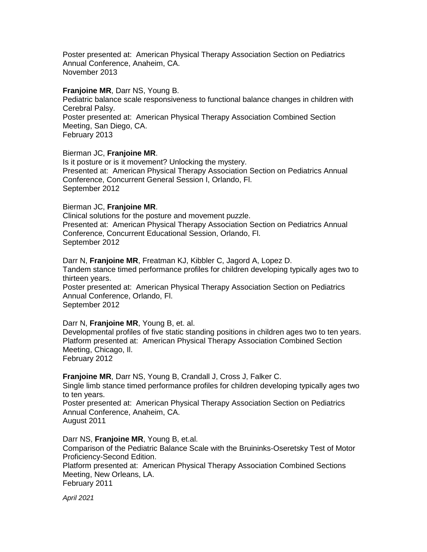Poster presented at: American Physical Therapy Association Section on Pediatrics Annual Conference, Anaheim, CA. November 2013

#### **Franjoine MR**, Darr NS, Young B.

Pediatric balance scale responsiveness to functional balance changes in children with Cerebral Palsy. Poster presented at: American Physical Therapy Association Combined Section Meeting, San Diego, CA. February 2013

### Bierman JC, **Franjoine MR**.

Is it posture or is it movement? Unlocking the mystery. Presented at: American Physical Therapy Association Section on Pediatrics Annual Conference, Concurrent General Session I, Orlando, Fl. September 2012

#### Bierman JC, **Franjoine MR**.

Clinical solutions for the posture and movement puzzle. Presented at: American Physical Therapy Association Section on Pediatrics Annual Conference, Concurrent Educational Session, Orlando, Fl. September 2012

Darr N, **Franjoine MR**, Freatman KJ, Kibbler C, Jagord A, Lopez D. Tandem stance timed performance profiles for children developing typically ages two to thirteen years. Poster presented at: American Physical Therapy Association Section on Pediatrics Annual Conference, Orlando, Fl. September 2012

#### Darr N, **Franjoine MR**, Young B, et. al.

Developmental profiles of five static standing positions in children ages two to ten years. Platform presented at: American Physical Therapy Association Combined Section Meeting, Chicago, Il.

February 2012

**Franjoine MR**, Darr NS, Young B, Crandall J, Cross J, Falker C. Single limb stance timed performance profiles for children developing typically ages two to ten years. Poster presented at: American Physical Therapy Association Section on Pediatrics Annual Conference, Anaheim, CA. August 2011

Darr NS, **Franjoine MR**, Young B, et.al. Comparison of the Pediatric Balance Scale with the Bruininks-Oseretsky Test of Motor Proficiency-Second Edition. Platform presented at: American Physical Therapy Association Combined Sections Meeting, New Orleans, LA. February 2011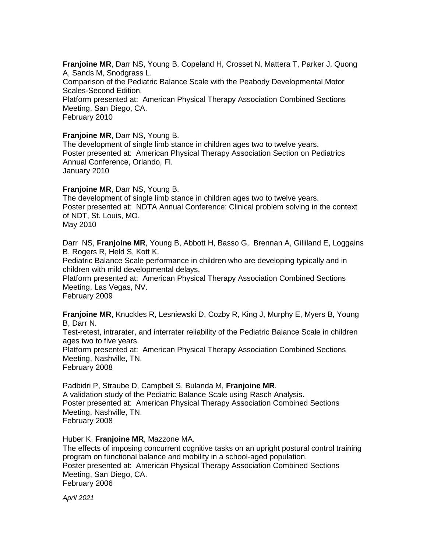**Franjoine MR**, Darr NS, Young B, Copeland H, Crosset N, Mattera T, Parker J, Quong A, Sands M, Snodgrass L. Comparison of the Pediatric Balance Scale with the Peabody Developmental Motor Scales-Second Edition. Platform presented at: American Physical Therapy Association Combined Sections Meeting, San Diego, CA. February 2010

## **Franjoine MR**, Darr NS, Young B.

The development of single limb stance in children ages two to twelve years. Poster presented at: American Physical Therapy Association Section on Pediatrics Annual Conference, Orlando, Fl. January 2010

#### **Franjoine MR**, Darr NS, Young B.

The development of single limb stance in children ages two to twelve years. Poster presented at: NDTA Annual Conference: Clinical problem solving in the context of NDT, St. Louis, MO. May 2010

Darr NS, **Franjoine MR**, Young B, Abbott H, Basso G, Brennan A, Gilliland E, Loggains B, Rogers R, Held S, Kott K.

Pediatric Balance Scale performance in children who are developing typically and in children with mild developmental delays.

Platform presented at: American Physical Therapy Association Combined Sections Meeting, Las Vegas, NV.

February 2009

**Franjoine MR**, Knuckles R, Lesniewski D, Cozby R, King J, Murphy E, Myers B, Young B, Darr N.

Test-retest, intrarater, and interrater reliability of the Pediatric Balance Scale in children ages two to five years.

Platform presented at: American Physical Therapy Association Combined Sections Meeting, Nashville, TN.

February 2008

Padbidri P, Straube D, Campbell S, Bulanda M, **Franjoine MR**. A validation study of the Pediatric Balance Scale using Rasch Analysis. Poster presented at: American Physical Therapy Association Combined Sections Meeting, Nashville, TN. February 2008

## Huber K, **Franjoine MR**, Mazzone MA.

The effects of imposing concurrent cognitive tasks on an upright postural control training program on functional balance and mobility in a school-aged population. Poster presented at: American Physical Therapy Association Combined Sections Meeting, San Diego, CA. February 2006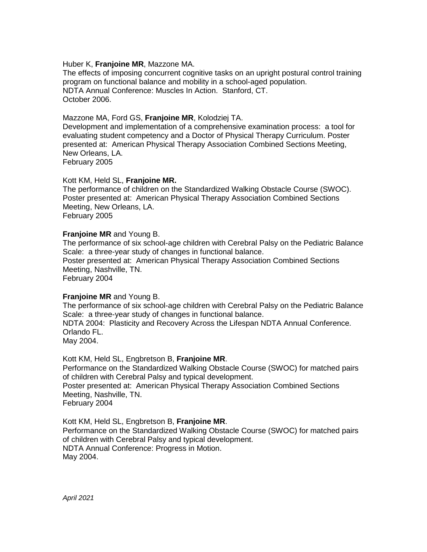### Huber K, **Franjoine MR**, Mazzone MA.

The effects of imposing concurrent cognitive tasks on an upright postural control training program on functional balance and mobility in a school-aged population. NDTA Annual Conference: Muscles In Action. Stanford, CT. October 2006.

## Mazzone MA, Ford GS, **Franjoine MR**, Kolodziej TA.

Development and implementation of a comprehensive examination process: a tool for evaluating student competency and a Doctor of Physical Therapy Curriculum. Poster presented at: American Physical Therapy Association Combined Sections Meeting, New Orleans, LA.

February 2005

## Kott KM, Held SL, **Franjoine MR.**

The performance of children on the Standardized Walking Obstacle Course (SWOC). Poster presented at: American Physical Therapy Association Combined Sections Meeting, New Orleans, LA. February 2005

#### **Franjoine MR** and Young B.

The performance of six school-age children with Cerebral Palsy on the Pediatric Balance Scale: a three-year study of changes in functional balance. Poster presented at: American Physical Therapy Association Combined Sections Meeting, Nashville, TN. February 2004

## **Franjoine MR** and Young B.

The performance of six school-age children with Cerebral Palsy on the Pediatric Balance Scale: a three-year study of changes in functional balance. NDTA 2004: Plasticity and Recovery Across the Lifespan NDTA Annual Conference. Orlando FL. May 2004.

Kott KM, Held SL, Engbretson B, **Franjoine MR**. Performance on the Standardized Walking Obstacle Course (SWOC) for matched pairs of children with Cerebral Palsy and typical development. Poster presented at: American Physical Therapy Association Combined Sections Meeting, Nashville, TN. February 2004

Kott KM, Held SL, Engbretson B, **Franjoine MR**. Performance on the Standardized Walking Obstacle Course (SWOC) for matched pairs of children with Cerebral Palsy and typical development. NDTA Annual Conference: Progress in Motion. May 2004.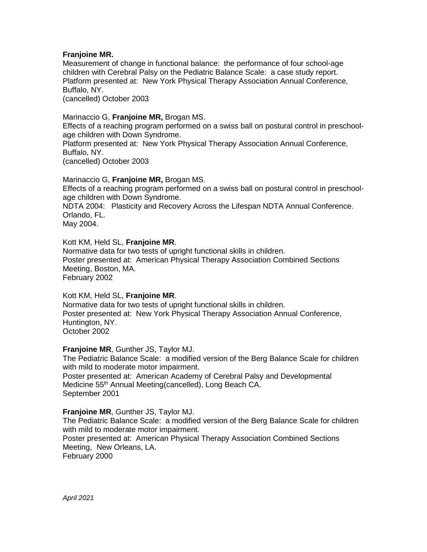# **Franjoine MR.**

Measurement of change in functional balance: the performance of four school-age children with Cerebral Palsy on the Pediatric Balance Scale: a case study report. Platform presented at: New York Physical Therapy Association Annual Conference, Buffalo, NY. (cancelled) October 2003

Marinaccio G, **Franjoine MR,** Brogan MS.

Effects of a reaching program performed on a swiss ball on postural control in preschoolage children with Down Syndrome.

Platform presented at: New York Physical Therapy Association Annual Conference, Buffalo, NY.

(cancelled) October 2003

Marinaccio G, **Franjoine MR,** Brogan MS.

Effects of a reaching program performed on a swiss ball on postural control in preschoolage children with Down Syndrome.

NDTA 2004: Plasticity and Recovery Across the Lifespan NDTA Annual Conference. Orlando, FL.

May 2004.

## Kott KM, Held SL, **Franjoine MR**.

Normative data for two tests of upright functional skills in children. Poster presented at: American Physical Therapy Association Combined Sections Meeting, Boston, MA. February 2002

Kott KM, Held SL, **Franjoine MR**.

Normative data for two tests of upright functional skills in children. Poster presented at: New York Physical Therapy Association Annual Conference, Huntington, NY. October 2002

**Franjoine MR**, Gunther JS, Taylor MJ.

The Pediatric Balance Scale: a modified version of the Berg Balance Scale for children with mild to moderate motor impairment. Poster presented at: American Academy of Cerebral Palsy and Developmental Medicine 55<sup>th</sup> Annual Meeting(cancelled), Long Beach CA.

September 2001

**Franjoine MR**, Gunther JS, Taylor MJ.

The Pediatric Balance Scale: a modified version of the Berg Balance Scale for children with mild to moderate motor impairment.

Poster presented at: American Physical Therapy Association Combined Sections Meeting, New Orleans, LA. February 2000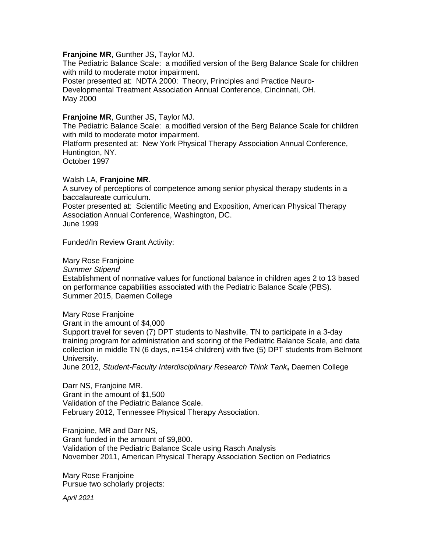## **Franjoine MR**, Gunther JS, Taylor MJ.

The Pediatric Balance Scale: a modified version of the Berg Balance Scale for children with mild to moderate motor impairment.

Poster presented at: NDTA 2000: Theory, Principles and Practice Neuro-Developmental Treatment Association Annual Conference, Cincinnati, OH. May 2000

## **Franjoine MR**, Gunther JS, Taylor MJ.

The Pediatric Balance Scale: a modified version of the Berg Balance Scale for children with mild to moderate motor impairment.

Platform presented at: New York Physical Therapy Association Annual Conference, Huntington, NY.

October 1997

#### Walsh LA, **Franjoine MR**.

A survey of perceptions of competence among senior physical therapy students in a baccalaureate curriculum.

Poster presented at: Scientific Meeting and Exposition, American Physical Therapy Association Annual Conference, Washington, DC. June 1999

Funded/In Review Grant Activity:

Mary Rose Franjoine

*Summer Stipend*

Establishment of normative values for functional balance in children ages 2 to 13 based on performance capabilities associated with the Pediatric Balance Scale (PBS). Summer 2015, Daemen College

Mary Rose Franjoine Grant in the amount of \$4,000 Support travel for seven (7) DPT students to Nashville, TN to participate in a 3-day training program for administration and scoring of the Pediatric Balance Scale, and data collection in middle TN (6 days, n=154 children) with five (5) DPT students from Belmont University.

June 2012, *Student-Faculty Interdisciplinary Research Think Tank***,** Daemen College

Darr NS, Franjoine MR. Grant in the amount of \$1,500 Validation of the Pediatric Balance Scale. February 2012, Tennessee Physical Therapy Association.

Franjoine, MR and Darr NS, Grant funded in the amount of \$9,800. Validation of the Pediatric Balance Scale using Rasch Analysis November 2011, American Physical Therapy Association Section on Pediatrics

Mary Rose Franjoine Pursue two scholarly projects: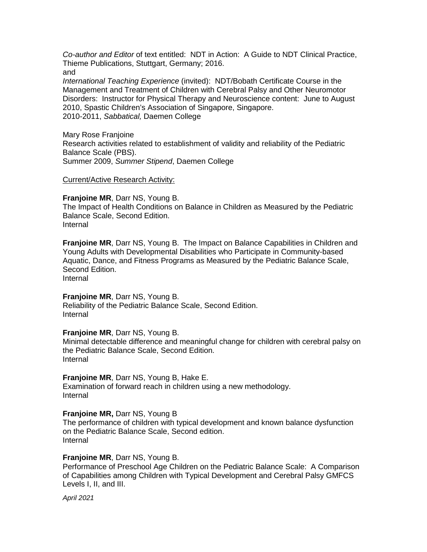*Co-author and Editor* of text entitled: NDT in Action: A Guide to NDT Clinical Practice, Thieme Publications, Stuttgart, Germany; 2016. and

*International Teaching Experience* (invited): NDT/Bobath Certificate Course in the Management and Treatment of Children with Cerebral Palsy and Other Neuromotor Disorders: Instructor for Physical Therapy and Neuroscience content: June to August 2010, Spastic Children's Association of Singapore, Singapore. 2010-2011, *Sabbatical,* Daemen College

Mary Rose Franjoine Research activities related to establishment of validity and reliability of the Pediatric Balance Scale (PBS). Summer 2009, *Summer Stipend*, Daemen College

## Current/Active Research Activity:

**Franjoine MR**, Darr NS, Young B. The Impact of Health Conditions on Balance in Children as Measured by the Pediatric Balance Scale, Second Edition. Internal

**Franjoine MR**, Darr NS, Young B. The Impact on Balance Capabilities in Children and Young Adults with Developmental Disabilities who Participate in Community-based Aquatic, Dance, and Fitness Programs as Measured by the Pediatric Balance Scale, Second Edition. Internal

**Franjoine MR**, Darr NS, Young B.

Reliability of the Pediatric Balance Scale, Second Edition. Internal

## **Franjoine MR**, Darr NS, Young B.

Minimal detectable difference and meaningful change for children with cerebral palsy on the Pediatric Balance Scale, Second Edition. Internal

## **Franjoine MR**, Darr NS, Young B, Hake E.

Examination of forward reach in children using a new methodology. Internal

## **Franjoine MR,** Darr NS, Young B

The performance of children with typical development and known balance dysfunction on the Pediatric Balance Scale, Second edition. Internal

## **Franjoine MR**, Darr NS, Young B.

Performance of Preschool Age Children on the Pediatric Balance Scale: A Comparison of Capabilities among Children with Typical Development and Cerebral Palsy GMFCS Levels I, II, and III.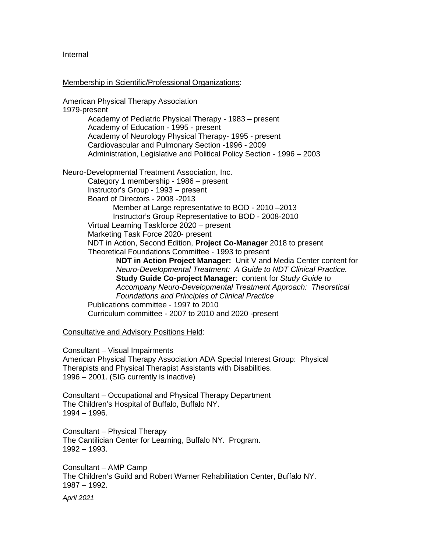Internal

## Membership in Scientific/Professional Organizations:

American Physical Therapy Association 1979-present Academy of Pediatric Physical Therapy - 1983 – present Academy of Education - 1995 - present Academy of Neurology Physical Therapy- 1995 - present Cardiovascular and Pulmonary Section -1996 - 2009 Administration, Legislative and Political Policy Section - 1996 – 2003 Neuro-Developmental Treatment Association, Inc. Category 1 membership - 1986 – present Instructor's Group - 1993 – present Board of Directors - 2008 -2013 Member at Large representative to BOD - 2010 –2013 Instructor's Group Representative to BOD - 2008-2010 Virtual Learning Taskforce 2020 – present Marketing Task Force 2020- present NDT in Action, Second Edition, **Project Co-Manager** 2018 to present Theoretical Foundations Committee - 1993 to present **NDT in Action Project Manager:** Unit V and Media Center content for *Neuro-Developmental Treatment: A Guide to NDT Clinical Practice.*  **Study Guide Co-project Manager**: content for *Study Guide to Accompany Neuro-Developmental Treatment Approach: Theoretical Foundations and Principles of Clinical Practice* Publications committee - 1997 to 2010 Curriculum committee - 2007 to 2010 and 2020 -present

Consultative and Advisory Positions Held:

Consultant – Visual Impairments American Physical Therapy Association ADA Special Interest Group: Physical Therapists and Physical Therapist Assistants with Disabilities. 1996 – 2001. (SIG currently is inactive)

Consultant – Occupational and Physical Therapy Department The Children's Hospital of Buffalo, Buffalo NY. 1994 – 1996.

Consultant – Physical Therapy The Cantilician Center for Learning, Buffalo NY. Program. 1992 – 1993.

Consultant – AMP Camp The Children's Guild and Robert Warner Rehabilitation Center, Buffalo NY. 1987 – 1992.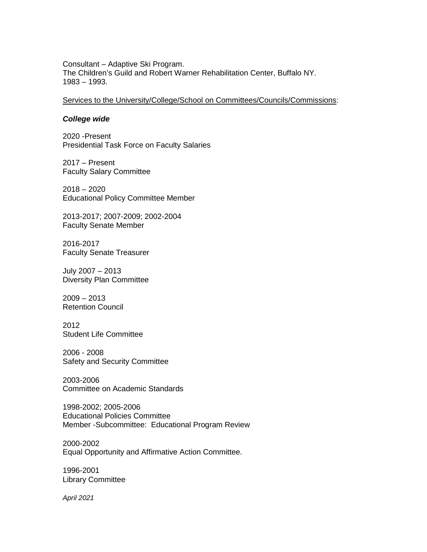Consultant – Adaptive Ski Program. The Children's Guild and Robert Warner Rehabilitation Center, Buffalo NY. 1983 – 1993.

Services to the University/College/School on Committees/Councils/Commissions:

#### *College wide*

2020 -Present Presidential Task Force on Faculty Salaries

2017 – Present Faculty Salary Committee

2018 – 2020 Educational Policy Committee Member

2013-2017; 2007-2009; 2002-2004 Faculty Senate Member

2016-2017 Faculty Senate Treasurer

July 2007 – 2013 Diversity Plan Committee

2009 – 2013 Retention Council

2012 Student Life Committee

2006 - 2008 Safety and Security Committee

2003-2006 Committee on Academic Standards

1998-2002; 2005-2006 Educational Policies Committee Member -Subcommittee: Educational Program Review

2000-2002 Equal Opportunity and Affirmative Action Committee.

1996-2001 Library Committee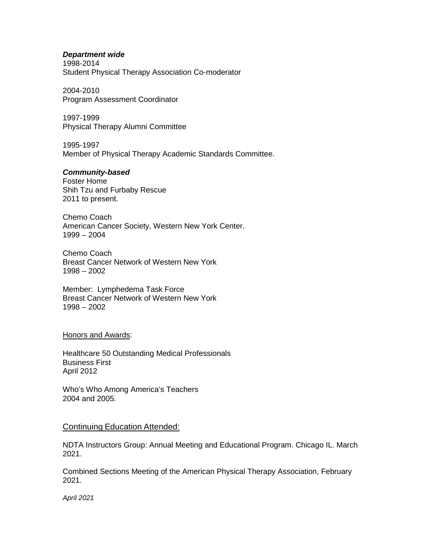#### *Department wide*

1998-2014 Student Physical Therapy Association Co-moderator

2004-2010 Program Assessment Coordinator

1997-1999 Physical Therapy Alumni Committee

1995-1997 Member of Physical Therapy Academic Standards Committee.

## *Community-based*

Foster Home Shih Tzu and Furbaby Rescue 2011 to present.

Chemo Coach American Cancer Society, Western New York Center. 1999 – 2004

Chemo Coach Breast Cancer Network of Western New York 1998 – 2002

Member: Lymphedema Task Force Breast Cancer Network of Western New York 1998 – 2002

#### Honors and Awards:

Healthcare 50 Outstanding Medical Professionals Business First April 2012

Who's Who Among America's Teachers 2004 and 2005.

## Continuing Education Attended:

NDTA Instructors Group: Annual Meeting and Educational Program. Chicago IL. March 2021.

Combined Sections Meeting of the American Physical Therapy Association, February 2021.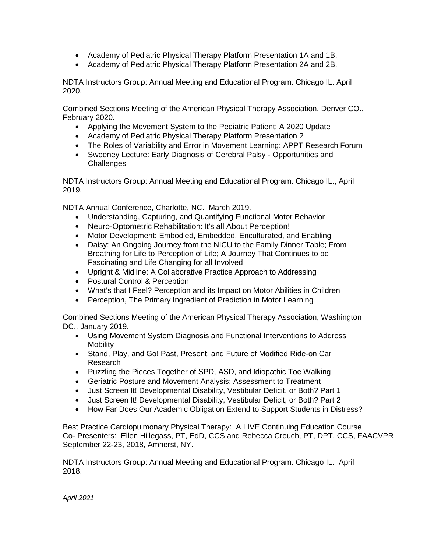- Academy of Pediatric Physical Therapy Platform Presentation 1A and 1B.
- Academy of Pediatric Physical Therapy Platform Presentation 2A and 2B.

NDTA Instructors Group: Annual Meeting and Educational Program. Chicago IL. April 2020.

Combined Sections Meeting of the American Physical Therapy Association, Denver CO., February 2020.

- Applying the Movement System to the Pediatric Patient: A 2020 Update
- Academy of Pediatric Physical Therapy Platform Presentation 2
- The Roles of Variability and Error in Movement Learning: APPT Research Forum
- Sweeney Lecture: Early Diagnosis of Cerebral Palsy Opportunities and **Challenges**

NDTA Instructors Group: Annual Meeting and Educational Program. Chicago IL., April 2019.

NDTA Annual Conference, Charlotte, NC. March 2019.

- Understanding, Capturing, and Quantifying Functional Motor Behavior
- Neuro-Optometric Rehabilitation: It's all About Perception!
- Motor Development: Embodied, Embedded, Enculturated, and Enabling
- Daisy: An Ongoing Journey from the NICU to the Family Dinner Table; From Breathing for Life to Perception of Life; A Journey That Continues to be Fascinating and Life Changing for all Involved
- Upright & Midline: A Collaborative Practice Approach to Addressing
- Postural Control & Perception
- What's that I Feel? Perception and its Impact on Motor Abilities in Children
- Perception, The Primary Ingredient of Prediction in Motor Learning

Combined Sections Meeting of the American Physical Therapy Association, Washington DC., January 2019.

- Using Movement System Diagnosis and Functional Interventions to Address Mobility
- Stand, Play, and Go! Past, Present, and Future of Modified Ride-on Car Research
- Puzzling the Pieces Together of SPD, ASD, and Idiopathic Toe Walking
- Geriatric Posture and Movement Analysis: Assessment to Treatment
- Just Screen It! Developmental Disability, Vestibular Deficit, or Both? Part 1
- Just Screen It! Developmental Disability, Vestibular Deficit, or Both? Part 2
- How Far Does Our Academic Obligation Extend to Support Students in Distress?

Best Practice Cardiopulmonary Physical Therapy: A LIVE Continuing Education Course Co- Presenters: Ellen Hillegass, PT, EdD, CCS and Rebecca Crouch, PT, DPT, CCS, FAACVPR September 22-23, 2018, Amherst, NY.

NDTA Instructors Group: Annual Meeting and Educational Program. Chicago IL. April 2018.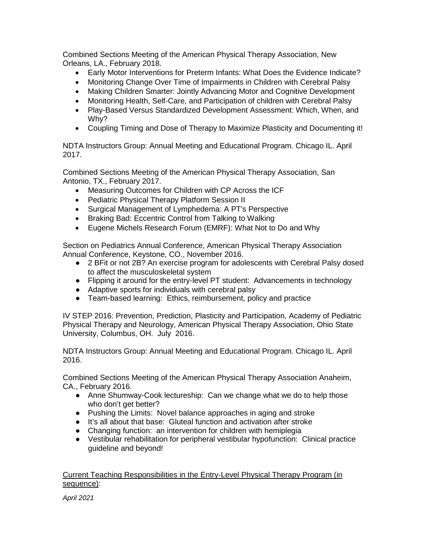Combined Sections Meeting of the American Physical Therapy Association, New Orleans, LA., February 2018.

- Early Motor Interventions for Preterm Infants: What Does the Evidence Indicate?
- Monitoring Change Over Time of Impairments in Children with Cerebral Palsy
- Making Children Smarter: Jointly Advancing Motor and Cognitive Development
- Monitoring Health, Self-Care, and Participation of children with Cerebral Palsy
- Play-Based Versus Standardized Development Assessment: Which, When, and Why?
- Coupling Timing and Dose of Therapy to Maximize Plasticity and Documenting it!

NDTA Instructors Group: Annual Meeting and Educational Program. Chicago IL. April 2017.

Combined Sections Meeting of the American Physical Therapy Association, San Antonio, TX., February 2017.

- Measuring Outcomes for Children with CP Across the ICF
- Pediatric Physical Therapy Platform Session II
- Surgical Management of Lymphedema: A PT's Perspective
- Braking Bad: Eccentric Control from Talking to Walking
- Eugene Michels Research Forum (EMRF): What Not to Do and Why

Section on Pediatrics Annual Conference, American Physical Therapy Association Annual Conference, Keystone, CO., November 2016.

- 2 BFit or not 2B? An exercise program for adolescents with Cerebral Palsy dosed to affect the musculoskeletal system
- Flipping it around for the entry-level PT student: Advancements in technology
- Adaptive sports for individuals with cerebral palsy
- Team-based learning: Ethics, reimbursement, policy and practice

IV STEP 2016: Prevention, Prediction, Plasticity and Participation, Academy of Pediatric Physical Therapy and Neurology, American Physical Therapy Association, Ohio State University, Columbus, OH. July 2016.

NDTA Instructors Group: Annual Meeting and Educational Program. Chicago IL. April 2016.

Combined Sections Meeting of the American Physical Therapy Association Anaheim, CA., February 2016.

- Anne Shumway-Cook lectureship: Can we change what we do to help those who don't get better?
- Pushing the Limits: Novel balance approaches in aging and stroke
- It's all about that base: Gluteal function and activation after stroke
- Changing function: an intervention for children with hemiplegia
- Vestibular rehabilitation for peripheral vestibular hypofunction: Clinical practice guideline and beyond!

## Current Teaching Responsibilities in the Entry-Level Physical Therapy Program (in sequence):